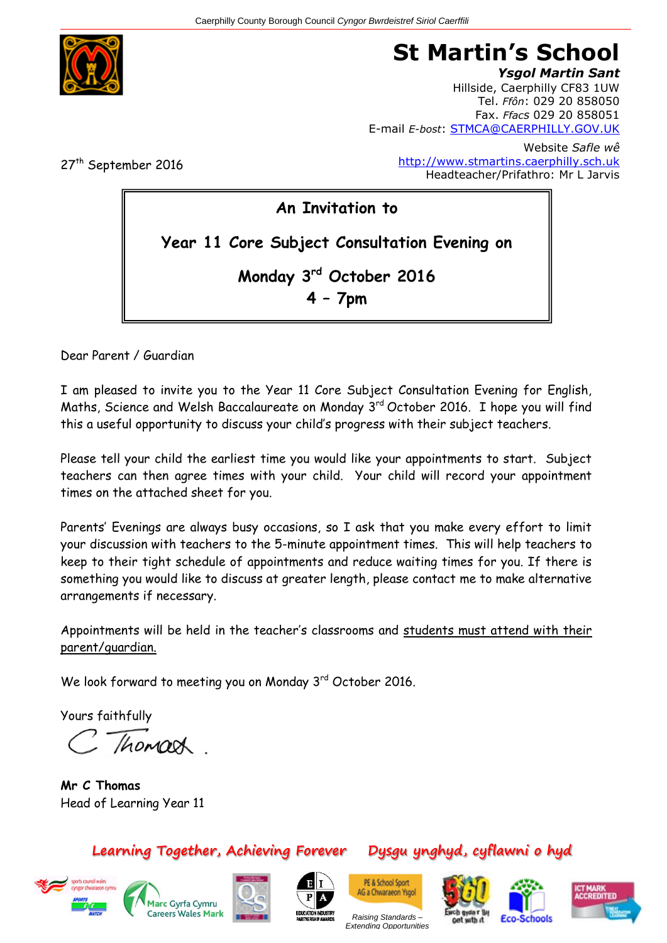

# **St Martin's School**

*Ysgol Martin Sant* Hillside, Caerphilly CF83 1UW Tel. *Ffôn*: 029 20 858050 Fax. *Ffacs* 029 20 858051 E-mail *E-bost*: [STMCA@CAERPHILLY.GOV.UK](mailto:STMCA@CAERPHILLY.GOV.UK)

27<sup>th</sup> September 2016

Website *Safle wê* [http://www.stmartins.caerphilly.sch.uk](http://www.stmartins.caerphilly.sch.uk/) Headteacher/Prifathro: Mr L Jarvis

**An Invitation to Year 11 Core Subject Consultation Evening on Monday 3rd October 2016 4 – 7pm**

Dear Parent / Guardian

I am pleased to invite you to the Year 11 Core Subject Consultation Evening for English, Maths, Science and Welsh Baccalaureate on Monday 3<sup>rd</sup> October 2016. I hope you will find this a useful opportunity to discuss your child's progress with their subject teachers.

Please tell your child the earliest time you would like your appointments to start. Subject teachers can then agree times with your child. Your child will record your appointment times on the attached sheet for you.

Parents' Evenings are always busy occasions, so I ask that you make every effort to limit your discussion with teachers to the 5-minute appointment times. This will help teachers to keep to their tight schedule of appointments and reduce waiting times for you. If there is something you would like to discuss at greater length, please contact me to make alternative arrangements if necessary.

Appointments will be held in the teacher's classrooms and students must attend with their parent/guardian.

We look forward to meeting you on Monday 3<sup>rd</sup> October 2016.

Yours faithfully

Chomach

**Mr C Thomas** Head of Learning Year 11

### **Learning Together, Achieving Forever Dysgu ynghyd, cyflawni o hyd**















*Raising Standards – Extending Opportunities*